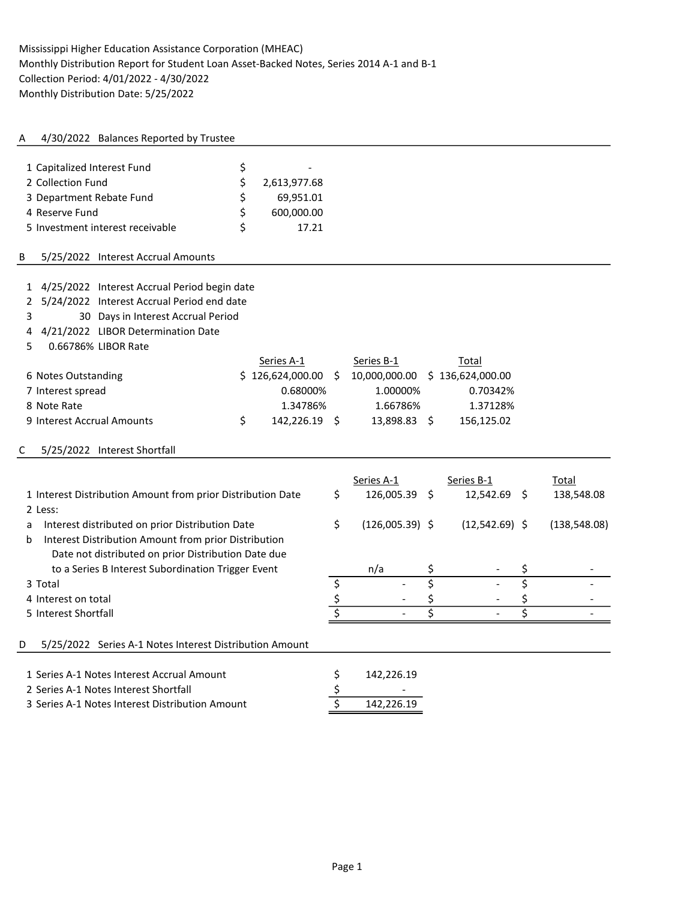# A 4/30/2022 Balances Reported by Trustee

| 1 Capitalized Interest Fund      |   |              |
|----------------------------------|---|--------------|
| 2 Collection Fund                |   | 2,613,977.68 |
| 3 Department Rebate Fund         |   | 69,951.01    |
| 4 Reserve Fund                   | ς | 600,000.00   |
| 5 Investment interest receivable | ς | 17 21        |

### B 5/25/2022 Interest Accrual Amounts

| 1 4/25/2022 Interest Accrual Period begin date<br>5/24/2022 Interest Accrual Period end date<br>$\mathbf{2}$<br>30 Days in Interest Accrual Period<br>3 |                     |             |                   |    |                  |                         |               |
|---------------------------------------------------------------------------------------------------------------------------------------------------------|---------------------|-------------|-------------------|----|------------------|-------------------------|---------------|
| 4/21/2022 LIBOR Determination Date<br>4                                                                                                                 |                     |             |                   |    |                  |                         |               |
| 0.66786% LIBOR Rate<br>5.                                                                                                                               |                     |             |                   |    |                  |                         |               |
|                                                                                                                                                         | Series A-1          |             | Series B-1        |    | Total            |                         |               |
| 6 Notes Outstanding                                                                                                                                     | \$126,624,000.00    | 5           | 10,000,000.00     |    | \$136,624,000.00 |                         |               |
| 7 Interest spread                                                                                                                                       | 0.68000%            |             | 1.00000%          |    | 0.70342%         |                         |               |
| 8 Note Rate                                                                                                                                             | 1.34786%            |             | 1.66786%          |    | 1.37128%         |                         |               |
| 9 Interest Accrual Amounts                                                                                                                              | \$<br>142,226.19 \$ |             | 13,898.83 \$      |    | 156,125.02       |                         |               |
| 5/25/2022 Interest Shortfall<br>С                                                                                                                       |                     |             |                   |    |                  |                         |               |
|                                                                                                                                                         |                     |             | Series A-1        |    | Series B-1       |                         | Total         |
| 1 Interest Distribution Amount from prior Distribution Date                                                                                             |                     | \$          | 126,005.39        | Ŝ. | 12,542.69 \$     |                         | 138,548.08    |
| 2 Less:                                                                                                                                                 |                     |             |                   |    |                  |                         |               |
| Interest distributed on prior Distribution Date<br>a                                                                                                    |                     | \$          | $(126,005.39)$ \$ |    | $(12,542.69)$ \$ |                         | (138, 548.08) |
| Interest Distribution Amount from prior Distribution<br>b                                                                                               |                     |             |                   |    |                  |                         |               |
| Date not distributed on prior Distribution Date due                                                                                                     |                     |             |                   |    |                  |                         |               |
| to a Series B Interest Subordination Trigger Event                                                                                                      |                     |             | n/a               | \$ |                  | \$                      |               |
| 3 Total                                                                                                                                                 |                     | \$          |                   | \$ |                  | $\overline{\mathsf{S}}$ |               |
| 4 Interest on total                                                                                                                                     |                     | $rac{5}{5}$ |                   |    |                  |                         |               |
| 5 Interest Shortfall                                                                                                                                    |                     |             |                   | \$ |                  | \$                      |               |
| 5/25/2022 Series A-1 Notes Interest Distribution Amount<br>D                                                                                            |                     |             |                   |    |                  |                         |               |
| 1 Series A-1 Notes Interest Accrual Amount                                                                                                              |                     | \$          | 142,226.19        |    |                  |                         |               |
| 2 Series A-1 Notes Interest Shortfall                                                                                                                   |                     | \$          |                   |    |                  |                         |               |
| 3 Series A-1 Notes Interest Distribution Amount                                                                                                         |                     |             | 142,226.19        |    |                  |                         |               |
|                                                                                                                                                         |                     |             |                   |    |                  |                         |               |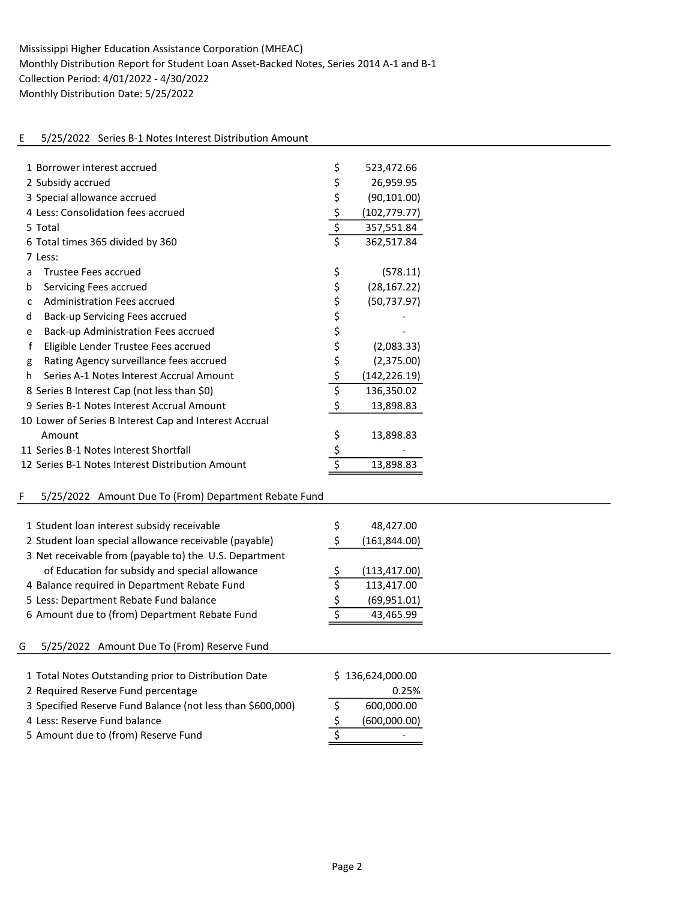# E 5/25/2022 Series B-1 Notes Interest Distribution Amount

| 1 Borrower interest accrued                                | \$                                  | 523,472.66       |
|------------------------------------------------------------|-------------------------------------|------------------|
| 2 Subsidy accrued                                          | \$                                  | 26,959.95        |
| 3 Special allowance accrued                                | \$                                  | (90, 101.00)     |
| 4 Less: Consolidation fees accrued                         | \$                                  | (102, 779.77)    |
| 5 Total                                                    | $\overline{\xi}$                    | 357,551.84       |
| 6 Total times 365 divided by 360                           | $\overline{\boldsymbol{\zeta}}$     | 362,517.84       |
| 7 Less:                                                    |                                     |                  |
| Trustee Fees accrued<br>a                                  | \$                                  | (578.11)         |
| Servicing Fees accrued<br>b                                | \$                                  | (28, 167.22)     |
| <b>Administration Fees accrued</b><br>C                    | \$                                  | (50, 737.97)     |
| Back-up Servicing Fees accrued<br>d                        | \$                                  |                  |
| Back-up Administration Fees accrued<br>е                   | \$                                  |                  |
| $\mathsf f$<br>Eligible Lender Trustee Fees accrued        | \$                                  | (2,083.33)       |
| Rating Agency surveillance fees accrued<br>g               | \$                                  | (2,375.00)       |
| Series A-1 Notes Interest Accrual Amount<br>h              | \$                                  | (142, 226.19)    |
| 8 Series B Interest Cap (not less than \$0)                | $\overline{\xi}$                    | 136,350.02       |
| 9 Series B-1 Notes Interest Accrual Amount                 | \$                                  | 13,898.83        |
| 10 Lower of Series B Interest Cap and Interest Accrual     |                                     |                  |
| Amount                                                     | \$                                  | 13,898.83        |
| 11 Series B-1 Notes Interest Shortfall                     | \$                                  |                  |
| 12 Series B-1 Notes Interest Distribution Amount           | $\overline{\boldsymbol{\varsigma}}$ | 13,898.83        |
|                                                            |                                     |                  |
| F<br>5/25/2022 Amount Due To (From) Department Rebate Fund |                                     |                  |
|                                                            |                                     |                  |
| 1 Student loan interest subsidy receivable                 | \$                                  | 48,427.00        |
| 2 Student loan special allowance receivable (payable)      | \$                                  | (161, 844.00)    |
| 3 Net receivable from (payable to) the U.S. Department     |                                     |                  |
| of Education for subsidy and special allowance             | <u>\$</u>                           | (113, 417.00)    |
| 4 Balance required in Department Rebate Fund               | \$                                  | 113,417.00       |
| 5 Less: Department Rebate Fund balance                     | \$                                  | (69, 951.01)     |
| 6 Amount due to (from) Department Rebate Fund              | $\overline{\boldsymbol{\zeta}}$     | 43,465.99        |
|                                                            |                                     |                  |
| 5/25/2022 Amount Due To (From) Reserve Fund<br>G           |                                     |                  |
|                                                            |                                     |                  |
| 1 Total Notes Outstanding prior to Distribution Date       |                                     | \$136,624,000.00 |
| 2 Required Reserve Fund percentage                         |                                     | 0.25%            |
| 3 Specified Reserve Fund Balance (not less than \$600,000) | \$                                  | 600,000.00       |
| 4 Less: Reserve Fund balance                               | $rac{5}{5}$                         | (600,000.00)     |
| 5 Amount due to (from) Reserve Fund                        |                                     |                  |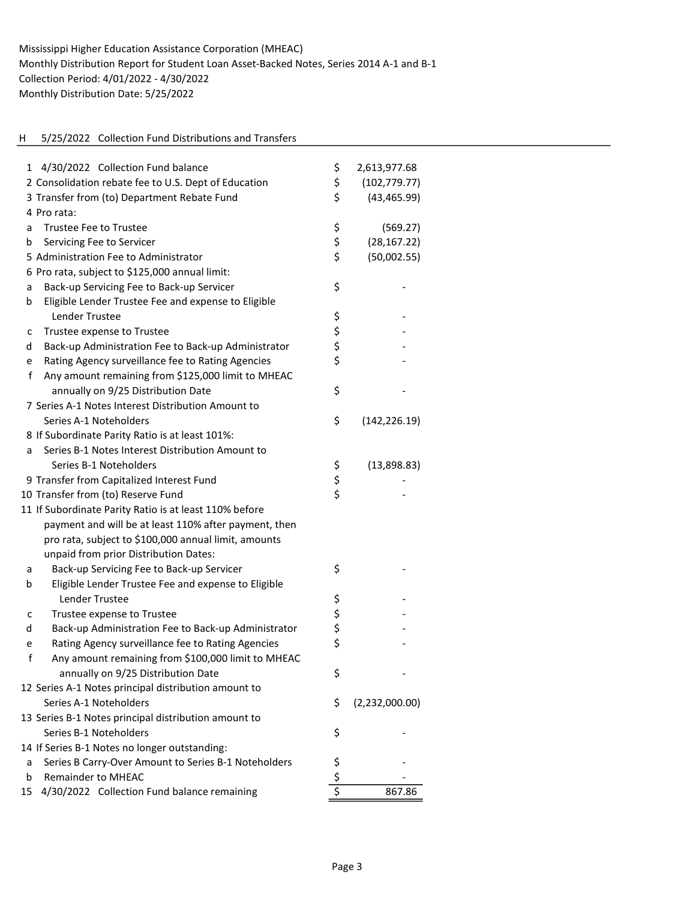# H 5/25/2022 Collection Fund Distributions and Transfers

| 4/30/2022 Collection Fund balance<br>1                            | \$          | 2,613,977.68   |
|-------------------------------------------------------------------|-------------|----------------|
| 2 Consolidation rebate fee to U.S. Dept of Education              | \$          | (102, 779.77)  |
| 3 Transfer from (to) Department Rebate Fund                       | \$          | (43, 465.99)   |
| 4 Pro rata:                                                       |             |                |
| <b>Trustee Fee to Trustee</b><br>a                                | \$          | (569.27)       |
| Servicing Fee to Servicer<br>b                                    | \$          | (28, 167.22)   |
| 5 Administration Fee to Administrator                             | \$          | (50,002.55)    |
| 6 Pro rata, subject to \$125,000 annual limit:                    |             |                |
| Back-up Servicing Fee to Back-up Servicer<br>a                    | \$          |                |
| Eligible Lender Trustee Fee and expense to Eligible<br>b          |             |                |
| <b>Lender Trustee</b>                                             | \$          |                |
| Trustee expense to Trustee<br>с                                   |             |                |
| Back-up Administration Fee to Back-up Administrator<br>d          | \$<br>\$    |                |
| Rating Agency surveillance fee to Rating Agencies                 | \$          |                |
| e<br>f<br>Any amount remaining from \$125,000 limit to MHEAC      |             |                |
|                                                                   | \$          |                |
| annually on 9/25 Distribution Date                                |             |                |
| 7 Series A-1 Notes Interest Distribution Amount to                |             |                |
| Series A-1 Noteholders                                            | \$          | (142, 226.19)  |
| 8 If Subordinate Parity Ratio is at least 101%:                   |             |                |
| Series B-1 Notes Interest Distribution Amount to<br>a             |             |                |
| Series B-1 Noteholders                                            | \$          | (13,898.83)    |
| 9 Transfer from Capitalized Interest Fund                         | \$          |                |
| 10 Transfer from (to) Reserve Fund                                | \$          |                |
| 11 If Subordinate Parity Ratio is at least 110% before            |             |                |
| payment and will be at least 110% after payment, then             |             |                |
| pro rata, subject to \$100,000 annual limit, amounts              |             |                |
| unpaid from prior Distribution Dates:                             |             |                |
| Back-up Servicing Fee to Back-up Servicer<br>a                    | \$          |                |
| Eligible Lender Trustee Fee and expense to Eligible<br>b          |             |                |
| <b>Lender Trustee</b>                                             |             |                |
| Trustee expense to Trustee<br>c                                   |             |                |
| Back-up Administration Fee to Back-up Administrator<br>d          | ららら         |                |
| Rating Agency surveillance fee to Rating Agencies<br>e            |             |                |
| $\mathsf f$<br>Any amount remaining from \$100,000 limit to MHEAC |             |                |
| annually on 9/25 Distribution Date                                | \$          |                |
| 12 Series A-1 Notes principal distribution amount to              |             |                |
| Series A-1 Noteholders                                            | \$          | (2,232,000.00) |
| 13 Series B-1 Notes principal distribution amount to              |             |                |
| Series B-1 Noteholders                                            | \$          |                |
| 14 If Series B-1 Notes no longer outstanding:                     |             |                |
| Series B Carry-Over Amount to Series B-1 Noteholders<br>a         | \$          |                |
| <b>Remainder to MHEAC</b><br>b                                    | $rac{5}{5}$ |                |
| 4/30/2022 Collection Fund balance remaining<br>15                 |             | 867.86         |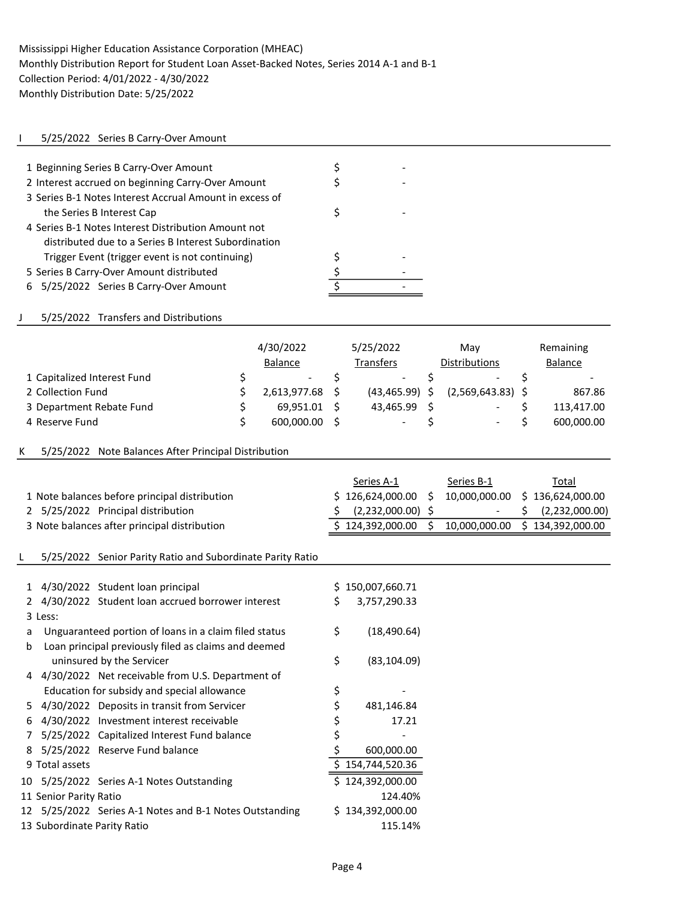### I 5/25/2022 Series B Carry-Over Amount

| 1 Beginning Series B Carry-Over Amount                  |  |
|---------------------------------------------------------|--|
| 2 Interest accrued on beginning Carry-Over Amount       |  |
| 3 Series B-1 Notes Interest Accrual Amount in excess of |  |
| the Series B Interest Cap                               |  |
| 4 Series B-1 Notes Interest Distribution Amount not     |  |
| distributed due to a Series B Interest Subordination    |  |
| Trigger Event (trigger event is not continuing)         |  |
| 5 Series B Carry-Over Amount distributed                |  |
| 6 5/25/2022 Series B Carry-Over Amount                  |  |

### J 5/25/2022 Transfers and Distributions

|                             | 4/30/2022<br><b>Balance</b> | 5/25/2022<br><b>Transfers</b> | Mav<br><b>Distributions</b> | Remaining<br><b>Balance</b> |
|-----------------------------|-----------------------------|-------------------------------|-----------------------------|-----------------------------|
| 1 Capitalized Interest Fund | $\overline{\phantom{a}}$    | $\overline{\phantom{a}}$      | $\overline{\phantom{a}}$    |                             |
| 2 Collection Fund           | 2,613,977.68                | $(43, 465.99)$ \$             | $(2,569,643.83)$ \$         | 867.86                      |
| 3 Department Rebate Fund    | 69.951.01                   | 43.465.99                     | $\overline{\phantom{a}}$    | 113,417.00                  |
| 4 Reserve Fund              | 600,000.00                  | $\overline{\phantom{a}}$      | $\overline{\phantom{a}}$    | 600,000.00                  |

#### K 5/25/2022 Note Balances After Principal Distribution

|                                               | Series A-1                      | Series B-1    | Total                           |
|-----------------------------------------------|---------------------------------|---------------|---------------------------------|
| 1 Note balances before principal distribution | \$126.624.000.00                |               | 10,000,000.00 \$ 136,624,000.00 |
| 2 5/25/2022 Principal distribution            | $\frac{1}{2}$ (2,232,000.00) \$ |               | $-$ \$ (2,232,000.00)           |
| 3 Note balances after principal distribution  | \$124,392,000.00                | 10,000,000.00 | \$134,392,000.00                |

#### L 5/25/2022 Senior Parity Ratio and Subordinate Parity Ratio

| 1             |                             | 4/30/2022 Student loan principal                        | S  | 150,007,660.71   |
|---------------|-----------------------------|---------------------------------------------------------|----|------------------|
| $\mathcal{P}$ |                             | 4/30/2022 Student loan accrued borrower interest        | \$ | 3,757,290.33     |
|               | 3 Less:                     |                                                         |    |                  |
| a             |                             | Unguaranteed portion of loans in a claim filed status   | \$ | (18,490.64)      |
| b             |                             | Loan principal previously filed as claims and deemed    |    |                  |
|               |                             | uninsured by the Servicer                               | \$ | (83, 104.09)     |
| 4             |                             | 4/30/2022 Net receivable from U.S. Department of        |    |                  |
|               |                             | Education for subsidy and special allowance             | \$ |                  |
| 5.            |                             | 4/30/2022 Deposits in transit from Servicer             | \$ | 481,146.84       |
| 6             |                             | 4/30/2022 Investment interest receivable                | \$ | 17.21            |
| 7             |                             | 5/25/2022 Capitalized Interest Fund balance             | \$ |                  |
| 8             |                             | 5/25/2022 Reserve Fund balance                          | \$ | 600,000.00       |
|               | 9 Total assets              |                                                         |    | \$154,744,520.36 |
|               |                             | 10 5/25/2022 Series A-1 Notes Outstanding               |    | \$124,392,000.00 |
|               | 11 Senior Parity Ratio      |                                                         |    | 124.40%          |
|               |                             | 12 5/25/2022 Series A-1 Notes and B-1 Notes Outstanding |    | \$134,392,000.00 |
|               | 13 Subordinate Parity Ratio |                                                         |    | 115.14%          |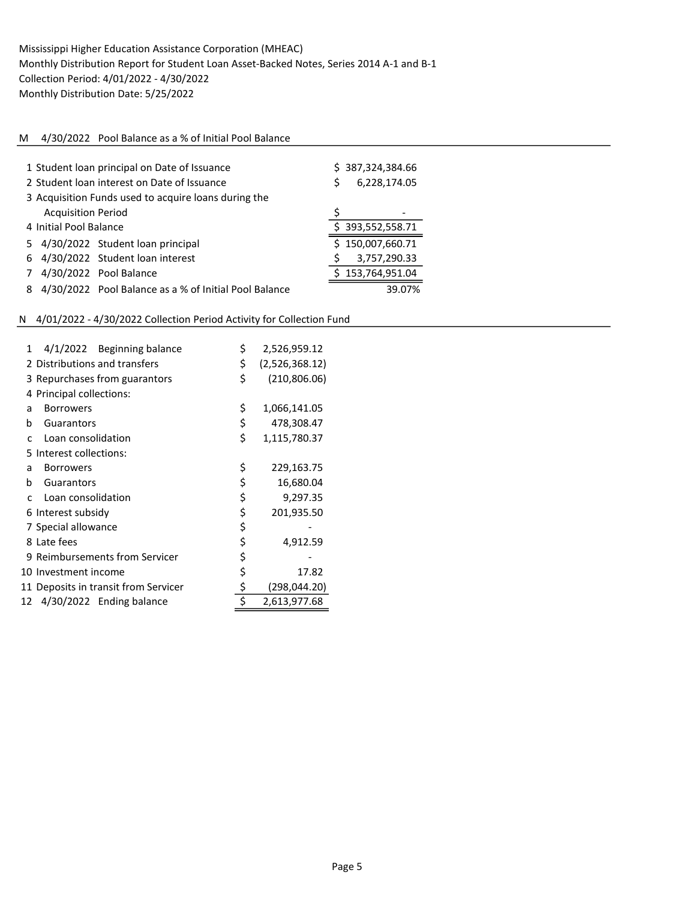### M 4/30/2022 Pool Balance as a % of Initial Pool Balance

|    | 1 Student loan principal on Date of Issuance<br>2 Student loan interest on Date of Issuance<br>3 Acquisition Funds used to acquire loans during the | Š.                                                    | \$387,324,384.66<br>6,228,174.05 |                  |
|----|-----------------------------------------------------------------------------------------------------------------------------------------------------|-------------------------------------------------------|----------------------------------|------------------|
|    | <b>Acquisition Period</b>                                                                                                                           |                                                       |                                  |                  |
|    | 4 Initial Pool Balance                                                                                                                              |                                                       |                                  | \$393,552,558.71 |
| 5. |                                                                                                                                                     | 4/30/2022 Student loan principal                      |                                  | \$150,007,660.71 |
|    |                                                                                                                                                     | 6 4/30/2022 Student loan interest                     |                                  | 3,757,290.33     |
|    |                                                                                                                                                     | 4/30/2022 Pool Balance                                |                                  | \$153,764,951.04 |
|    |                                                                                                                                                     | 4/30/2022 Pool Balance as a % of Initial Pool Balance |                                  | 39.07%           |

# N 4/01/2022 - 4/30/2022 Collection Period Activity for Collection Fund

| 1  | 4/1/2022 Beginning balance           | \$<br>2,526,959.12   |
|----|--------------------------------------|----------------------|
|    | 2 Distributions and transfers        | \$<br>(2,526,368.12) |
|    | 3 Repurchases from guarantors        | \$<br>(210, 806.06)  |
|    | 4 Principal collections:             |                      |
| a  | <b>Borrowers</b>                     | \$<br>1,066,141.05   |
| b  | Guarantors                           | \$<br>478,308.47     |
| C  | Loan consolidation                   | \$<br>1,115,780.37   |
| 5. | Interest collections:                |                      |
| a  | <b>Borrowers</b>                     | \$<br>229,163.75     |
| b  | Guarantors                           | \$<br>16,680.04      |
| C. | Loan consolidation                   | \$<br>9,297.35       |
|    | 6 Interest subsidy                   | \$<br>201,935.50     |
|    | 7 Special allowance                  | \$                   |
|    | 8 Late fees                          | \$<br>4,912.59       |
|    | 9 Reimbursements from Servicer       | \$                   |
|    | 10 Investment income                 | \$<br>17.82          |
|    | 11 Deposits in transit from Servicer | \$<br>(298,044.20)   |
| 12 | 4/30/2022 Ending balance             | \$<br>2,613,977.68   |
|    |                                      |                      |